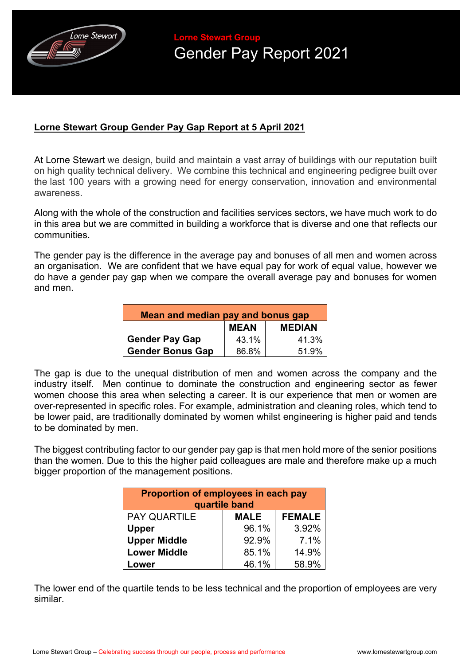

**Lorne Stewart Group**  Gender Pay Report 2021

## **Lorne Stewart Group Gender Pay Gap Report at 5 April 2021**

At Lorne Stewart we design, build and maintain a vast array of buildings with our reputation built on high quality technical delivery. We combine this technical and engineering pedigree built over the last 100 years with a growing need for energy conservation, innovation and environmental awareness.

Along with the whole of the construction and facilities services sectors, we have much work to do in this area but we are committed in building a workforce that is diverse and one that reflects our communities.

The gender pay is the difference in the average pay and bonuses of all men and women across an organisation. We are confident that we have equal pay for work of equal value, however we do have a gender pay gap when we compare the overall average pay and bonuses for women and men.

| Mean and median pay and bonus gap |             |               |  |
|-----------------------------------|-------------|---------------|--|
|                                   | <b>MEAN</b> | <b>MEDIAN</b> |  |
| <b>Gender Pay Gap</b>             | 43.1%       | 41.3%         |  |
| <b>Gender Bonus Gap</b>           | 86.8%       | 51.9%         |  |

The gap is due to the unequal distribution of men and women across the company and the industry itself. Men continue to dominate the construction and engineering sector as fewer women choose this area when selecting a career. It is our experience that men or women are over-represented in specific roles. For example, administration and cleaning roles, which tend to be lower paid, are traditionally dominated by women whilst engineering is higher paid and tends to be dominated by men.

The biggest contributing factor to our gender pay gap is that men hold more of the senior positions than the women. Due to this the higher paid colleagues are male and therefore make up a much bigger proportion of the management positions.

| Proportion of employees in each pay<br>quartile band |             |               |  |
|------------------------------------------------------|-------------|---------------|--|
| <b>PAY QUARTILE</b>                                  | <b>MALE</b> | <b>FEMALE</b> |  |
| <b>Upper</b>                                         | 96.1%       | 3.92%         |  |
| <b>Upper Middle</b>                                  | 92.9%       | 7.1%          |  |
| <b>Lower Middle</b>                                  | 85.1%       | 14.9%         |  |
| Lower                                                | 46.1%       | 58.9%         |  |

The lower end of the quartile tends to be less technical and the proportion of employees are very similar.